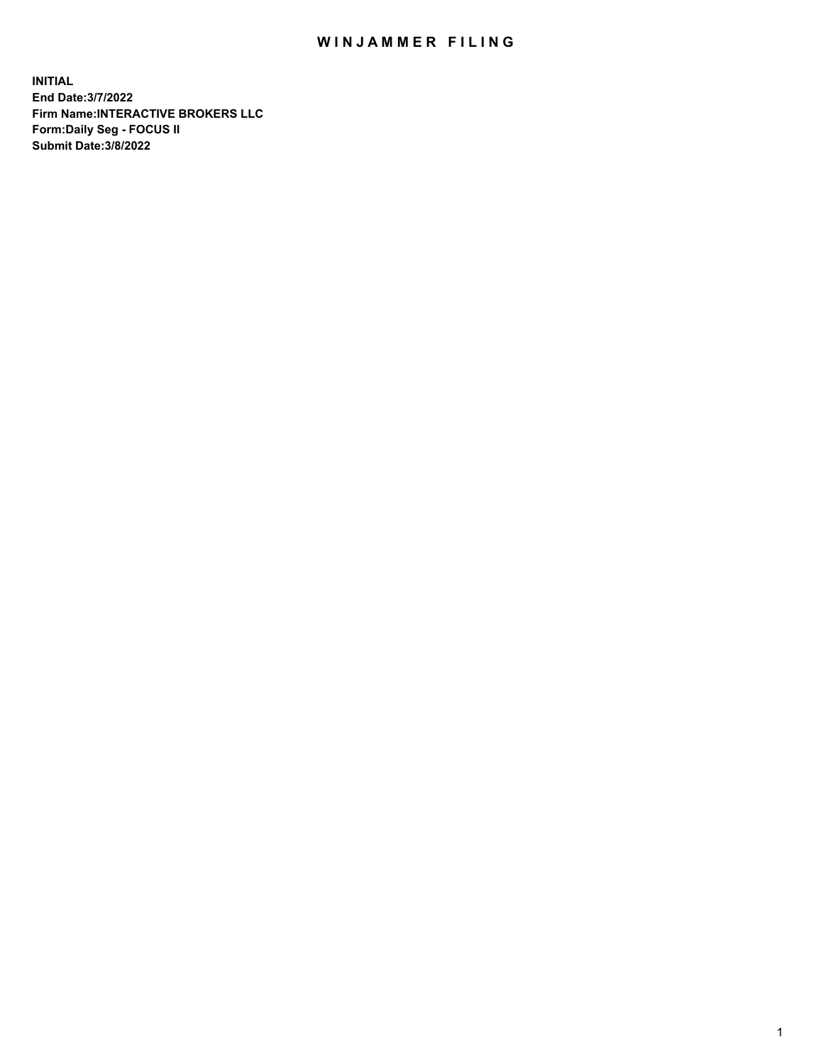## WIN JAMMER FILING

**INITIAL End Date:3/7/2022 Firm Name:INTERACTIVE BROKERS LLC Form:Daily Seg - FOCUS II Submit Date:3/8/2022**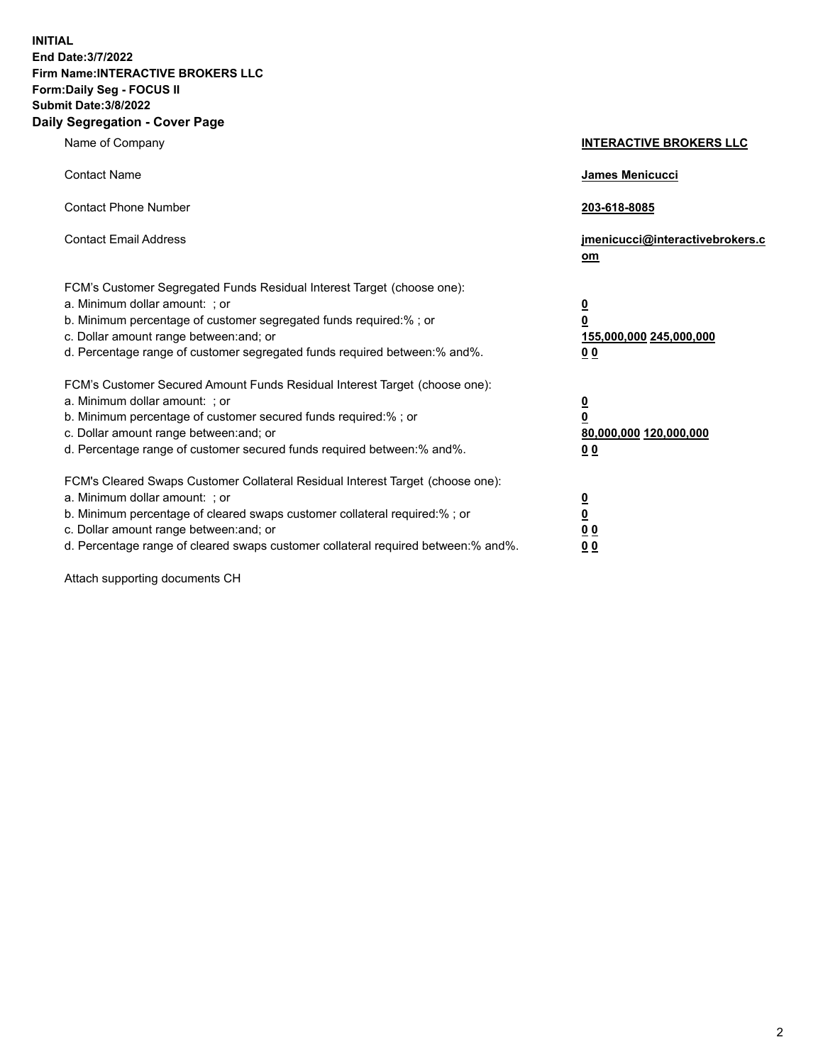**INITIAL End Date:3/7/2022 Firm Name:INTERACTIVE BROKERS LLC Form:Daily Seg - FOCUS II Submit Date:3/8/2022 Daily Segregation - Cover Page**

| Name of Company                                                                                                                                                                                                                                                                                                                | <b>INTERACTIVE BROKERS LLC</b>                                                                 |
|--------------------------------------------------------------------------------------------------------------------------------------------------------------------------------------------------------------------------------------------------------------------------------------------------------------------------------|------------------------------------------------------------------------------------------------|
| <b>Contact Name</b>                                                                                                                                                                                                                                                                                                            | James Menicucci                                                                                |
| <b>Contact Phone Number</b>                                                                                                                                                                                                                                                                                                    | 203-618-8085                                                                                   |
| <b>Contact Email Address</b>                                                                                                                                                                                                                                                                                                   | jmenicucci@interactivebrokers.c<br>om                                                          |
| FCM's Customer Segregated Funds Residual Interest Target (choose one):<br>a. Minimum dollar amount: ; or<br>b. Minimum percentage of customer segregated funds required:% ; or<br>c. Dollar amount range between: and; or<br>d. Percentage range of customer segregated funds required between: % and %.                       | $\overline{\mathbf{0}}$<br>$\overline{\mathbf{0}}$<br>155,000,000 245,000,000<br>00            |
| FCM's Customer Secured Amount Funds Residual Interest Target (choose one):<br>a. Minimum dollar amount: ; or<br>b. Minimum percentage of customer secured funds required:%; or<br>c. Dollar amount range between: and; or<br>d. Percentage range of customer secured funds required between:% and%.                            | $\overline{\mathbf{0}}$<br>$\overline{\mathbf{0}}$<br>80,000,000 120,000,000<br>0 <sub>0</sub> |
| FCM's Cleared Swaps Customer Collateral Residual Interest Target (choose one):<br>a. Minimum dollar amount: ; or<br>b. Minimum percentage of cleared swaps customer collateral required:% ; or<br>c. Dollar amount range between: and; or<br>d. Percentage range of cleared swaps customer collateral required between:% and%. | <u>0</u><br>$\overline{\mathbf{0}}$<br>0 <sub>0</sub><br>0 <sub>0</sub>                        |

Attach supporting documents CH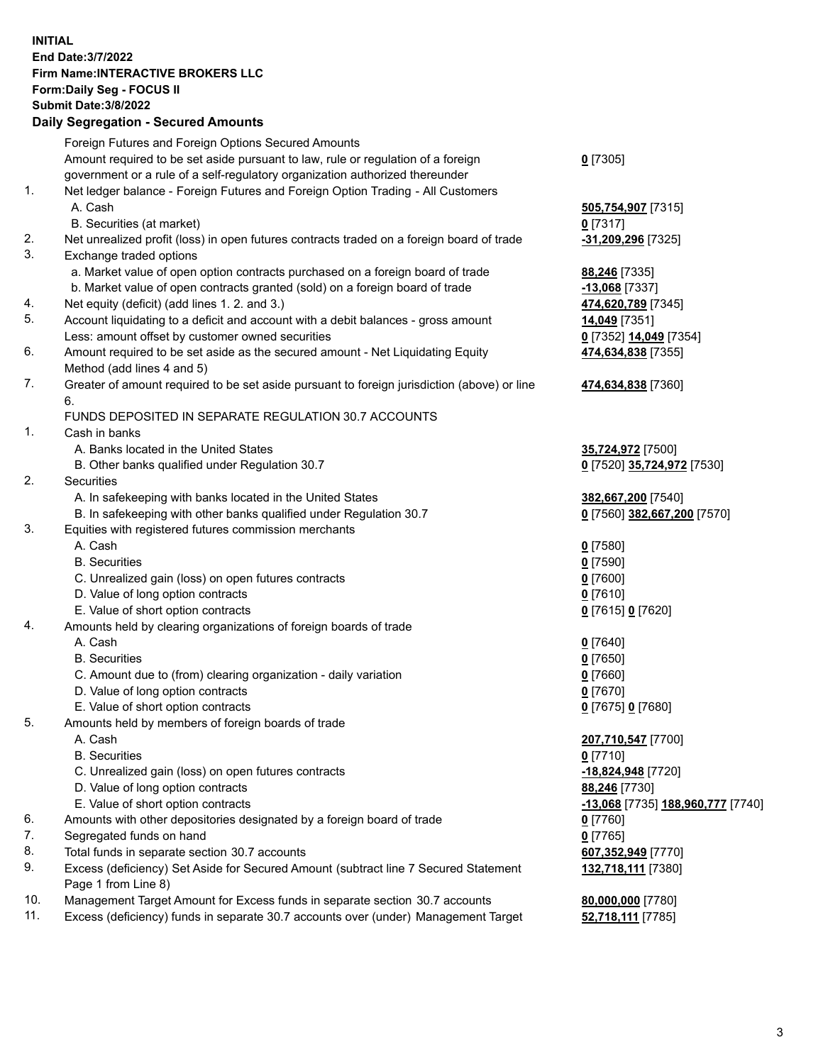**INITIAL End Date:3/7/2022 Firm Name:INTERACTIVE BROKERS LLC Form:Daily Seg - FOCUS II Submit Date:3/8/2022 Daily Segregation - Secured Amounts**

|     | Foreign Futures and Foreign Options Secured Amounts                                         |                                                |
|-----|---------------------------------------------------------------------------------------------|------------------------------------------------|
|     | Amount required to be set aside pursuant to law, rule or regulation of a foreign            | $0$ [7305]                                     |
|     | government or a rule of a self-regulatory organization authorized thereunder                |                                                |
| 1.  | Net ledger balance - Foreign Futures and Foreign Option Trading - All Customers             |                                                |
|     | A. Cash                                                                                     | 505,754,907 [7315]                             |
|     | B. Securities (at market)                                                                   | $0$ [7317]                                     |
| 2.  | Net unrealized profit (loss) in open futures contracts traded on a foreign board of trade   | -31,209,296 [7325]                             |
| 3.  | Exchange traded options                                                                     |                                                |
|     | a. Market value of open option contracts purchased on a foreign board of trade              | 88,246 [7335]                                  |
|     | b. Market value of open contracts granted (sold) on a foreign board of trade                | $-13,068$ [7337]                               |
| 4.  | Net equity (deficit) (add lines 1. 2. and 3.)                                               | 474,620,789 [7345]                             |
| 5.  | Account liquidating to a deficit and account with a debit balances - gross amount           | 14,049 [7351]                                  |
|     | Less: amount offset by customer owned securities                                            | 0 [7352] 14,049 [7354]                         |
| 6.  | Amount required to be set aside as the secured amount - Net Liquidating Equity              | 474,634,838 [7355]                             |
|     | Method (add lines 4 and 5)                                                                  |                                                |
| 7.  | Greater of amount required to be set aside pursuant to foreign jurisdiction (above) or line | 474,634,838 [7360]                             |
|     | 6.                                                                                          |                                                |
|     | FUNDS DEPOSITED IN SEPARATE REGULATION 30.7 ACCOUNTS                                        |                                                |
| 1.  | Cash in banks                                                                               |                                                |
|     | A. Banks located in the United States                                                       | 35,724,972 [7500]                              |
|     | B. Other banks qualified under Regulation 30.7                                              | 0 [7520] 35,724,972 [7530]                     |
| 2.  | Securities                                                                                  |                                                |
|     | A. In safekeeping with banks located in the United States                                   | 382,667,200 [7540]                             |
|     | B. In safekeeping with other banks qualified under Regulation 30.7                          | 0 [7560] 382,667,200 [7570]                    |
| 3.  | Equities with registered futures commission merchants                                       |                                                |
|     | A. Cash                                                                                     | $0$ [7580]                                     |
|     | <b>B.</b> Securities                                                                        | $0$ [7590]                                     |
|     | C. Unrealized gain (loss) on open futures contracts                                         | $0$ [7600]                                     |
|     | D. Value of long option contracts                                                           | $0$ [7610]                                     |
|     | E. Value of short option contracts                                                          | 0 [7615] 0 [7620]                              |
| 4.  | Amounts held by clearing organizations of foreign boards of trade                           |                                                |
|     | A. Cash                                                                                     | $0$ [7640]                                     |
|     | <b>B.</b> Securities                                                                        | $0$ [7650]                                     |
|     | C. Amount due to (from) clearing organization - daily variation                             | $0$ [7660]                                     |
|     | D. Value of long option contracts                                                           | $0$ [7670]                                     |
|     | E. Value of short option contracts                                                          | 0 [7675] 0 [7680]                              |
| 5.  | Amounts held by members of foreign boards of trade                                          |                                                |
|     | A. Cash                                                                                     | 207,710,547 [7700]                             |
|     | <b>B.</b> Securities                                                                        | $0$ [7710]                                     |
|     | C. Unrealized gain (loss) on open futures contracts                                         | -18,824,948 [7720]                             |
|     | D. Value of long option contracts                                                           | 88,246 [7730]                                  |
|     | E. Value of short option contracts                                                          | <mark>-13,068</mark> [7735] 188,960,777 [7740] |
| 6.  | Amounts with other depositories designated by a foreign board of trade                      | $0$ [7760]                                     |
| 7.  | Segregated funds on hand                                                                    | $0$ [7765]                                     |
| 8.  | Total funds in separate section 30.7 accounts                                               | 607,352,949 [7770]                             |
| 9.  | Excess (deficiency) Set Aside for Secured Amount (subtract line 7 Secured Statement         | 132,718,111 [7380]                             |
|     | Page 1 from Line 8)                                                                         |                                                |
| 10. | Management Target Amount for Excess funds in separate section 30.7 accounts                 | 80,000,000 [7780]                              |
| 11. | Excess (deficiency) funds in separate 30.7 accounts over (under) Management Target          | 52,718,111 [7785]                              |
|     |                                                                                             |                                                |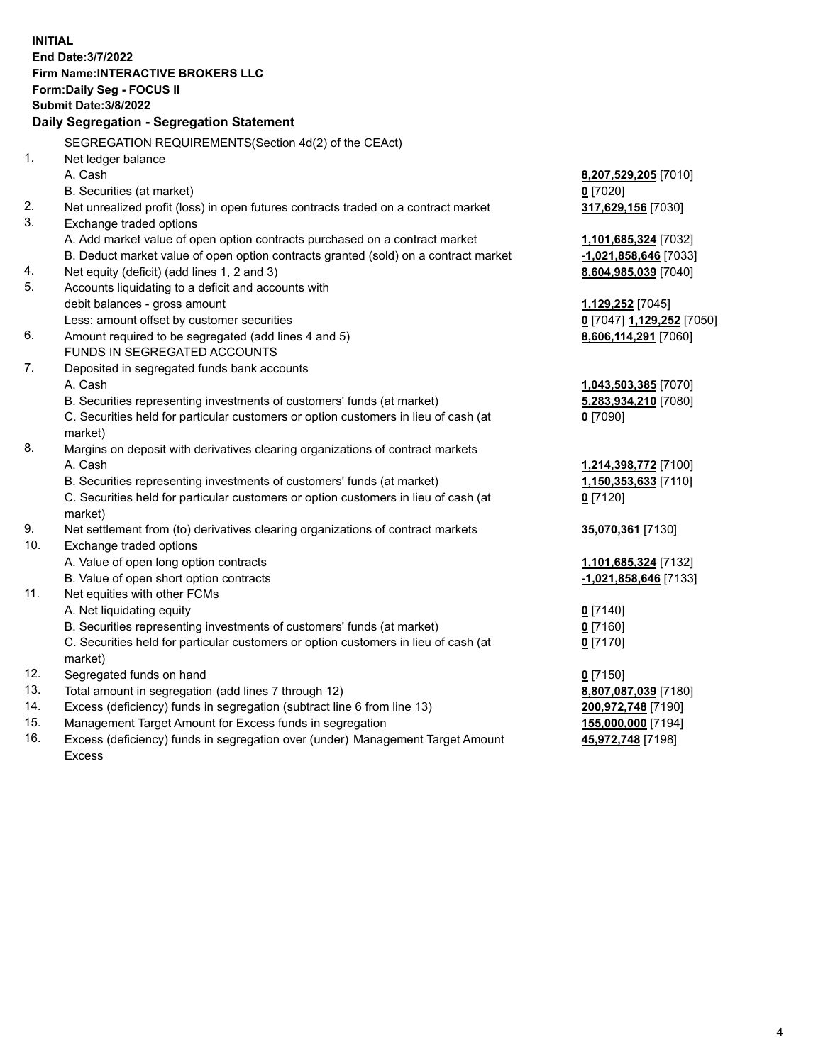**INITIAL End Date:3/7/2022 Firm Name:INTERACTIVE BROKERS LLC Form:Daily Seg - FOCUS II Submit Date:3/8/2022 Daily Segregation - Segregation Statement** SEGREGATION REQUIREMENTS(Section 4d(2) of the CEAct) 1. Net ledger balance A. Cash **8,207,529,205** [7010] B. Securities (at market) **0** [7020] 2. Net unrealized profit (loss) in open futures contracts traded on a contract market **317,629,156** [7030] 3. Exchange traded options A. Add market value of open option contracts purchased on a contract market **1,101,685,324** [7032] B. Deduct market value of open option contracts granted (sold) on a contract market **-1,021,858,646** [7033] 4. Net equity (deficit) (add lines 1, 2 and 3) **8,604,985,039** [7040] 5. Accounts liquidating to a deficit and accounts with debit balances - gross amount **1,129,252** [7045] Less: amount offset by customer securities **0** [7047] **1,129,252** [7050] 6. Amount required to be segregated (add lines 4 and 5) **8,606,114,291** [7060] FUNDS IN SEGREGATED ACCOUNTS 7. Deposited in segregated funds bank accounts A. Cash **1,043,503,385** [7070] B. Securities representing investments of customers' funds (at market) **5,283,934,210** [7080] C. Securities held for particular customers or option customers in lieu of cash (at market) **0** [7090] 8. Margins on deposit with derivatives clearing organizations of contract markets A. Cash **1,214,398,772** [7100] B. Securities representing investments of customers' funds (at market) **1,150,353,633** [7110] C. Securities held for particular customers or option customers in lieu of cash (at market) **0** [7120] 9. Net settlement from (to) derivatives clearing organizations of contract markets **35,070,361** [7130] 10. Exchange traded options A. Value of open long option contracts **1,101,685,324** [7132] B. Value of open short option contracts **-1,021,858,646** [7133] 11. Net equities with other FCMs A. Net liquidating equity **0** [7140] B. Securities representing investments of customers' funds (at market) **0** [7160] C. Securities held for particular customers or option customers in lieu of cash (at market) **0** [7170] 12. Segregated funds on hand **0** [7150] 13. Total amount in segregation (add lines 7 through 12) **8,807,087,039** [7180] 14. Excess (deficiency) funds in segregation (subtract line 6 from line 13) **200,972,748** [7190] 15. Management Target Amount for Excess funds in segregation **155,000,000** [7194] 16. Excess (deficiency) funds in segregation over (under) Management Target Amount Excess **45,972,748** [7198]